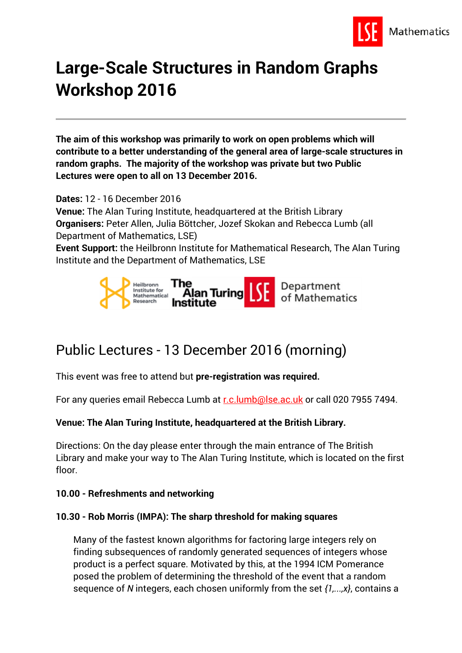

# **Large-Scale Structures in Random Graphs Workshop 2016**

**The aim of this workshop was primarily to work on open problems which will contribute to a better understanding of the general area of large-scale structures in random graphs. The majority of the workshop was private but two Public Lectures were open to all on 13 December 2016.**

**Dates:** 12 - 16 December 2016

**Venue:** The Alan Turing Institute, headquartered at the British Library **Organisers:** Peter Allen, Julia Böttcher, Jozef Skokan and Rebecca Lumb (all Department of Mathematics, LSE)

**Event Support:** the Heilbronn Institute for Mathematical Research, The Alan Turing Institute and the Department of Mathematics, LSE



# Public Lectures - 13 December 2016 (morning)

This event was free to attend but **pre-registration was required.**

For any queries email Rebecca Lumb at [r.c.lumb@lse.ac.uk](mailto:r.c.lumb@lse.ac.uk) or call 020 7955 7494.

## **Venue: The Alan Turing Institute, headquartered at the British Library.**

Directions: On the day please enter through the main entrance of The British Library and make your way to The Alan Turing Institute, which is located on the first floor.

#### **10.00 - Refreshments and networking**

## **10.30 - Rob Morris (IMPA): The sharp threshold for making squares**

Many of the fastest known algorithms for factoring large integers rely on finding subsequences of randomly generated sequences of integers whose product is a perfect square. Motivated by this, at the 1994 ICM Pomerance posed the problem of determining the threshold of the event that a random sequence of *N* integers, each chosen uniformly from the set *{1,...,x}*, contains a